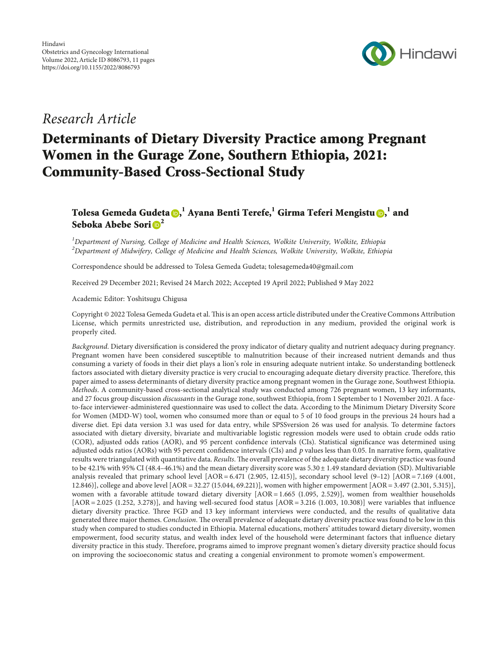

# Research Article

# Determinants of Dietary Diversity Practice among Pregnant Women in the Gurage Zone, Southern Ethiopia, 2021: Community-Based Cross-Sectional Study

# Tolesa Gemeda Gudeta $\bm{\odot}^{,1}_\cdot$  $\bm{\odot}^{,1}_\cdot$  $\bm{\odot}^{,1}_\cdot$  Ayana Benti Terefe, $^1$  Girma Teferi Mengistu $\bm{\odot}^{,1}_\cdot$  and Seboka Abebe Sori $\mathbf{D}^2$  $\mathbf{D}^2$

 ${}^{1}$ Department of Nursing, College of Medicine and Health Sciences, Wolkite University, Wolkite, Ethiopia  $^2$ Department of Midwifery, College of Medicine and Health Sciences, Wolkite University, Wolkite, Ethiopia

Correspondence should be addressed to Tolesa Gemeda Gudeta; [tolesagemeda40@gmail.com](mailto:tolesagemeda40@gmail.com)

Received 29 December 2021; Revised 24 March 2022; Accepted 19 April 2022; Published 9 May 2022

Academic Editor: Yoshitsugu Chigusa

Copyright © 2022 Tolesa Gemeda Gudeta et al. This is an open access article distributed under the [Creative Commons Attribution](https://creativecommons.org/licenses/by/4.0/) [License,](https://creativecommons.org/licenses/by/4.0/) which permits unrestricted use, distribution, and reproduction in any medium, provided the original work is properly cited.

Background. Dietary diversification is considered the proxy indicator of dietary quality and nutrient adequacy during pregnancy. Pregnant women have been considered susceptible to malnutrition because of their increased nutrient demands and thus consuming a variety of foods in their diet plays a lion's role in ensuring adequate nutrient intake. So understanding bottleneck factors associated with dietary diversity practice is very crucial to encouraging adequate dietary diversity practice. Therefore, this paper aimed to assess determinants of dietary diversity practice among pregnant women in the Gurage zone, Southwest Ethiopia. Methods. A community-based cross-sectional analytical study was conducted among 726 pregnant women, 13 key informants, and 27 focus group discussion discussants in the Gurage zone, southwest Ethiopia, from 1 September to 1 November 2021. A faceto-face interviewer-administered questionnaire was used to collect the data. According to the Minimum Dietary Diversity Score for Women (MDD-W) tool, women who consumed more than or equal to 5 of 10 food groups in the previous 24 hours had a diverse diet. Epi data version 3.1 was used for data entry, while SPSSversion 26 was used for analysis. To determine factors associated with dietary diversity, bivariate and multivariable logistic regression models were used to obtain crude odds ratio (COR), adjusted odds ratios (AOR), and 95 percent confidence intervals (CIs). Statistical significance was determined using adjusted odds ratios (AORs) with 95 percent confidence intervals (CIs) and *p* values less than 0.05. In narrative form, qualitative results were triangulated with quantitative data. Results. The overall prevalence of the adequate dietary diversity practice was found to be 42.1% with 95% CI (48.4–46.1%) and the mean dietary diversity score was  $5.30 \pm 1.49$  standard deviation (SD). Multivariable analysis revealed that primary school level  $[AOR = 6.471 (2.905, 12.415)]$ , secondary school level  $(9-12)$   $[AOR = 7.169 (4.001, 1.007)]$ 12.846)], college and above level [AOR = 32.27 (15.044, 69.221)], women with higher empowerment [AOR = 3.497 (2.301, 5.315)], women with a favorable attitude toward dietary diversity [AOR = 1.665 (1.095, 2.529)], women from wealthier households  $[AOR = 2.025 (1.252, 3.278)]$ , and having well-secured food status  $[AOR = 3.216 (1.003, 10.308)]$  were variables that influence dietary diversity practice. Three FGD and 13 key informant interviews were conducted, and the results of qualitative data generated three major themes. Conclusion. The overall prevalence of adequate dietary diversity practice was found to be low in this study when compared to studies conducted in Ethiopia. Maternal educations, mothers' attitudes toward dietary diversity, women empowerment, food security status, and wealth index level of the household were determinant factors that influence dietary diversity practice in this study. Therefore, programs aimed to improve pregnant women's dietary diversity practice should focus on improving the socioeconomic status and creating a congenial environment to promote women's empowerment.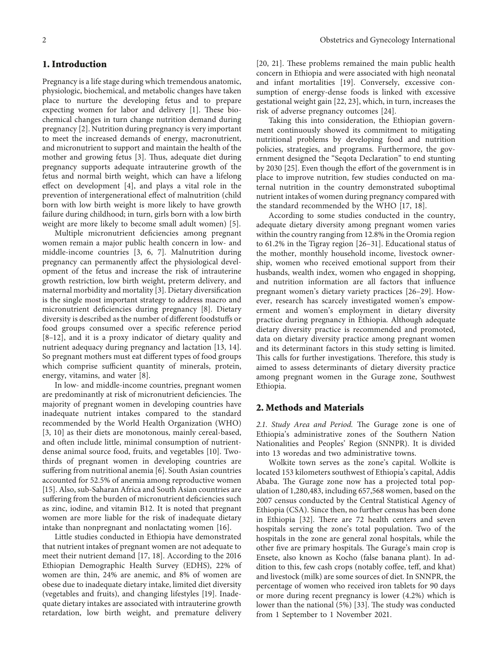#### **1. Introduction**

Pregnancy is a life stage during which tremendous anatomic, physiologic, biochemical, and metabolic changes have taken place to nurture the developing fetus and to prepare expecting women for labor and delivery [[1](#page-9-0)]. These biochemical changes in turn change nutrition demand during pregnancy [\[2\]](#page-9-0). Nutrition during pregnancy is very important to meet the increased demands of energy, macronutrient, and micronutrient to support and maintain the health of the mother and growing fetus [[3\]](#page-9-0). Thus, adequate diet during pregnancy supports adequate intrauterine growth of the fetus and normal birth weight, which can have a lifelong effect on development [[4\]](#page-9-0), and plays a vital role in the prevention of intergenerational effect of malnutrition (child born with low birth weight is more likely to have growth failure during childhood; in turn, girls born with a low birth weight are more likely to become small adult women) [[5\]](#page-9-0).

Multiple micronutrient deficiencies among pregnant women remain a major public health concern in low- and middle-income countries [[3](#page-9-0), [6](#page-9-0), [7\]](#page-9-0). Malnutrition during pregnancy can permanently affect the physiological development of the fetus and increase the risk of intrauterine growth restriction, low birth weight, preterm delivery, and maternal morbidity and mortality [\[3\]](#page-9-0). Dietary diversification is the single most important strategy to address macro and micronutrient deficiencies during pregnancy [[8\]](#page-9-0). Dietary diversity is described as the number of different foodstuffs or food groups consumed over a specific reference period [\[8–12](#page-9-0)], and it is a proxy indicator of dietary quality and nutrient adequacy during pregnancy and lactation [\[13](#page-9-0), [14](#page-9-0)]. So pregnant mothers must eat different types of food groups which comprise sufficient quantity of minerals, protein, energy, vitamins, and water [[8\]](#page-9-0).

In low- and middle-income countries, pregnant women are predominantly at risk of micronutrient deficiencies. The majority of pregnant women in developing countries have inadequate nutrient intakes compared to the standard recommended by the World Health Organization (WHO) [\[3](#page-9-0), [10](#page-9-0)] as their diets are monotonous, mainly cereal-based, and often include little, minimal consumption of nutrientdense animal source food, fruits, and vegetables [\[10](#page-9-0)]. Twothirds of pregnant women in developing countries are suffering from nutritional anemia [\[6](#page-9-0)]. South Asian countries accounted for 52.5% of anemia among reproductive women [\[15](#page-9-0)]. Also, sub-Saharan Africa and South Asian countries are suffering from the burden of micronutrient deficiencies such as zinc, iodine, and vitamin B12. It is noted that pregnant women are more liable for the risk of inadequate dietary intake than nonpregnant and nonlactating women [\[16](#page-9-0)].

Little studies conducted in Ethiopia have demonstrated that nutrient intakes of pregnant women are not adequate to meet their nutrient demand [\[17, 18](#page-9-0)]. According to the 2016 Ethiopian Demographic Health Survey (EDHS), 22% of women are thin, 24% are anemic, and 8% of women are obese due to inadequate dietary intake, limited diet diversity (vegetables and fruits), and changing lifestyles [[19\]](#page-9-0). Inadequate dietary intakes are associated with intrauterine growth retardation, low birth weight, and premature delivery [\[20, 21\]](#page-9-0). These problems remained the main public health concern in Ethiopia and were associated with high neonatal and infant mortalities [[19\]](#page-9-0). Conversely, excessive consumption of energy-dense foods is linked with excessive gestational weight gain [[22](#page-9-0), [23](#page-9-0)], which, in turn, increases the risk of adverse pregnancy outcomes [[24](#page-9-0)].

Taking this into consideration, the Ethiopian government continuously showed its commitment to mitigating nutritional problems by developing food and nutrition policies, strategies, and programs. Furthermore, the government designed the "Seqota Declaration" to end stunting by 2030 [[25](#page-9-0)]. Even though the effort of the government is in place to improve nutrition, few studies conducted on maternal nutrition in the country demonstrated suboptimal nutrient intakes of women during pregnancy compared with the standard recommended by the WHO [[17](#page-9-0), [18](#page-9-0)].

According to some studies conducted in the country, adequate dietary diversity among pregnant women varies within the country ranging from 12.8% in the Oromia region to 61.2% in the Tigray region [\[26–31](#page-9-0)]. Educational status of the mother, monthly household income, livestock ownership, women who received emotional support from their husbands, wealth index, women who engaged in shopping, and nutrition information are all factors that influence pregnant women's dietary variety practices [\[26–29\]](#page-9-0). However, research has scarcely investigated women's empowerment and women's employment in dietary diversity practice during pregnancy in Ethiopia. Although adequate dietary diversity practice is recommended and promoted, data on dietary diversity practice among pregnant women and its determinant factors in this study setting is limited. This calls for further investigations. Therefore, this study is aimed to assess determinants of dietary diversity practice among pregnant women in the Gurage zone, Southwest Ethiopia.

# **2. Methods and Materials**

2.1. Study Area and Period. The Gurage zone is one of Ethiopia's administrative zones of the Southern Nation Nationalities and Peoples' Region (SNNPR). It is divided into 13 woredas and two administrative towns.

Wolkite town serves as the zone's capital. Wolkite is located 153 kilometers southwest of Ethiopia's capital, Addis Ababa. The Gurage zone now has a projected total population of 1,280,483, including 657,568 women, based on the 2007 census conducted by the Central Statistical Agency of Ethiopia (CSA). Since then, no further census has been done in Ethiopia [\[32\]](#page-10-0). There are 72 health centers and seven hospitals serving the zone's total population. Two of the hospitals in the zone are general zonal hospitals, while the other five are primary hospitals. The Gurage's main crop is Ensete, also known as Kocho (false banana plant). In addition to this, few cash crops (notably coffee, teff, and khat) and livestock (milk) are some sources of diet. In SNNPR, the percentage of women who received iron tablets for 90 days or more during recent pregnancy is lower (4.2%) which is lower than the national (5%) [\[33\]](#page-10-0). The study was conducted from 1 September to 1 November 2021.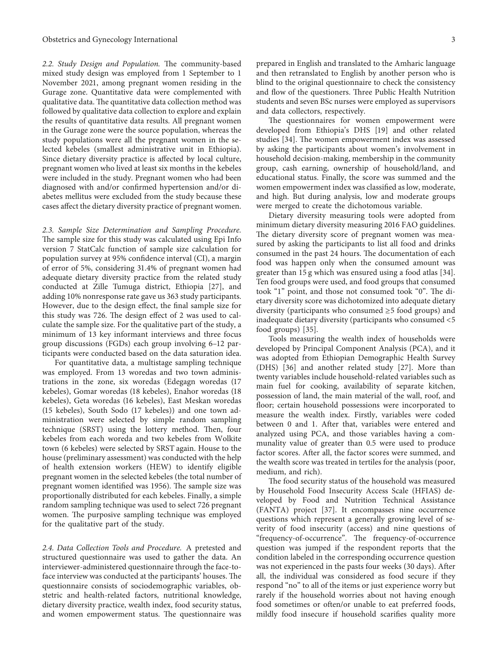2.2. Study Design and Population. The community-based mixed study design was employed from 1 September to 1 November 2021, among pregnant women residing in the Gurage zone. Quantitative data were complemented with qualitative data. The quantitative data collection method was followed by qualitative data collection to explore and explain the results of quantitative data results. All pregnant women in the Gurage zone were the source population, whereas the study populations were all the pregnant women in the selected kebeles (smallest administrative unit in Ethiopia). Since dietary diversity practice is affected by local culture, pregnant women who lived at least six months in the kebeles were included in the study. Pregnant women who had been diagnosed with and/or confirmed hypertension and/or diabetes mellitus were excluded from the study because these cases affect the dietary diversity practice of pregnant women.

*2.3. Sample Size Determination and Sampling Procedure.* The sample size for this study was calculated using Epi Info version 7 StatCalc function of sample size calculation for population survey at 95% confidence interval (CI), a margin of error of 5%, considering 31.4% of pregnant women had adequate dietary diversity practice from the related study conducted at Zille Tumuga district, Ethiopia [[27](#page-9-0)], and adding 10% nonresponse rate gave us 363 study participants. However, due to the design effect, the final sample size for this study was 726. The design effect of 2 was used to calculate the sample size. For the qualitative part of the study, a minimum of 13 key informant interviews and three focus group discussions (FGDs) each group involving 6–12 participants were conducted based on the data saturation idea.

For quantitative data, a multistage sampling technique was employed. From 13 woredas and two town administrations in the zone, six woredas (Edegagn woredas (17 kebeles), Gomar woredas (18 kebeles), Enahor woredas (18 kebeles), Geta woredas (16 kebeles), East Meskan woredas (15 kebeles), South Sodo (17 kebeles)) and one town administration were selected by simple random sampling technique (SRST) using the lottery method. Then, four kebeles from each woreda and two kebeles from Wolkite town (6 kebeles) were selected by SRST again. House to the house (preliminary assessment) was conducted with the help of health extension workers (HEW) to identify eligible pregnant women in the selected kebeles (the total number of pregnant women identified was 1956). The sample size was proportionally distributed for each kebeles. Finally, a simple random sampling technique was used to select 726 pregnant women. The purposive sampling technique was employed for the qualitative part of the study.

*2.4. Data Collection Tools and Procedure.* A pretested and structured questionnaire was used to gather the data. An interviewer-administered questionnaire through the face-toface interview was conducted at the participants' houses. The questionnaire consists of sociodemographic variables, obstetric and health-related factors, nutritional knowledge, dietary diversity practice, wealth index, food security status, and women empowerment status. The questionnaire was

prepared in English and translated to the Amharic language and then retranslated to English by another person who is blind to the original questionnaire to check the consistency and flow of the questioners. Three Public Health Nutrition students and seven BSc nurses were employed as supervisors and data collectors, respectively.

The questionnaires for women empowerment were developed from Ethiopia's DHS [[19\]](#page-9-0) and other related studies [\[34\]](#page-10-0). The women empowerment index was assessed by asking the participants about women's involvement in household decision-making, membership in the community group, cash earning, ownership of household/land, and educational status. Finally, the score was summed and the women empowerment index was classified as low, moderate, and high. But during analysis, low and moderate groups were merged to create the dichotomous variable.

Dietary diversity measuring tools were adopted from minimum dietary diversity measuring 2016 FAO guidelines. The dietary diversity score of pregnant women was measured by asking the participants to list all food and drinks consumed in the past 24 hours. The documentation of each food was happen only when the consumed amount was greater than 15 g which was ensured using a food atlas [[34](#page-10-0)]. Ten food groups were used, and food groups that consumed took "1" point, and those not consumed took "0". The dietary diversity score was dichotomized into adequate dietary diversity (participants who consumed ≥5 food groups) and inadequate dietary diversity (participants who consumed <5 food groups) [[35](#page-10-0)].

Tools measuring the wealth index of households were developed by Principal Component Analysis (PCA), and it was adopted from Ethiopian Demographic Health Survey (DHS) [\[36\]](#page-10-0) and another related study [\[27\]](#page-9-0). More than twenty variables include household-related variables such as main fuel for cooking, availability of separate kitchen, possession of land, the main material of the wall, roof, and floor; certain household possessions were incorporated to measure the wealth index. Firstly, variables were coded between 0 and 1. After that, variables were entered and analyzed using PCA, and those variables having a communality value of greater than 0.5 were used to produce factor scores. After all, the factor scores were summed, and the wealth score was treated in tertiles for the analysis (poor, medium, and rich).

The food security status of the household was measured by Household Food Insecurity Access Scale (HFIAS) developed by Food and Nutrition Technical Assistance (FANTA) project [\[37\]](#page-10-0). It encompasses nine occurrence questions which represent a generally growing level of severity of food insecurity (access) and nine questions of "frequency-of-occurrence". The frequency-of-occurrence question was jumped if the respondent reports that the condition labeled in the corresponding occurrence question was not experienced in the pasts four weeks (30 days). After all, the individual was considered as food secure if they respond "no" to all of the items or just experience worry but rarely if the household worries about not having enough food sometimes or often/or unable to eat preferred foods, mildly food insecure if household scarifies quality more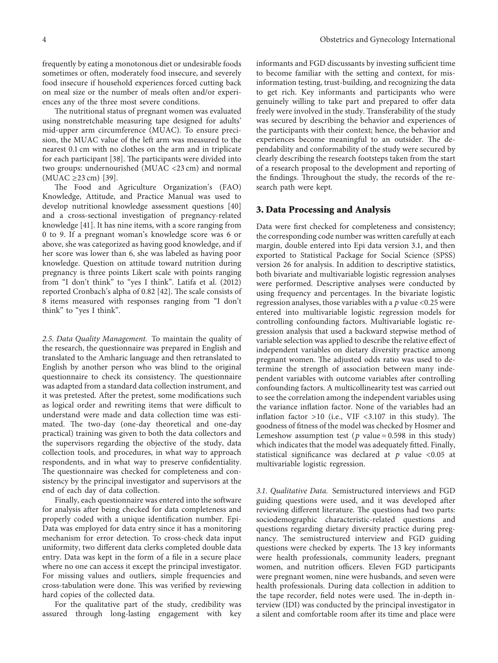frequently by eating a monotonous diet or undesirable foods sometimes or often, moderately food insecure, and severely food insecure if household experiences forced cutting back on meal size or the number of meals often and/or experiences any of the three most severe conditions.

The nutritional status of pregnant women was evaluated using nonstretchable measuring tape designed for adults' mid-upper arm circumference (MUAC). To ensure precision, the MUAC value of the left arm was measured to the nearest 0.1 cm with no clothes on the arm and in triplicate for each participant [[38](#page-10-0)]. The participants were divided into two groups: undernourished (MUAC <23 cm) and normal (MUAC ≥23 cm) [\[39\]](#page-10-0).

The Food and Agriculture Organization's (FAO) Knowledge, Attitude, and Practice Manual was used to develop nutritional knowledge assessment questions [\[40\]](#page-10-0) and a cross-sectional investigation of pregnancy-related knowledge [[41\]](#page-10-0). It has nine items, with a score ranging from 0 to 9. If a pregnant woman's knowledge score was 6 or above, she was categorized as having good knowledge, and if her score was lower than 6, she was labeled as having poor knowledge. Question on attitude toward nutrition during pregnancy is three points Likert scale with points ranging from "I don't think" to "yes I think". Latifa et al. (2012) reported Cronbach's alpha of 0.82 [[42](#page-10-0)]. The scale consists of 8 items measured with responses ranging from "I don't think" to "yes I think".

*2.5. Data Quality Management.* To maintain the quality of the research, the questionnaire was prepared in English and translated to the Amharic language and then retranslated to English by another person who was blind to the original questionnaire to check its consistency. The questionnaire was adapted from a standard data collection instrument, and it was pretested. After the pretest, some modifications such as logical order and rewriting items that were difficult to understand were made and data collection time was estimated. The two-day (one-day theoretical and one-day practical) training was given to both the data collectors and the supervisors regarding the objective of the study, data collection tools, and procedures, in what way to approach respondents, and in what way to preserve confidentiality. The questionnaire was checked for completeness and consistency by the principal investigator and supervisors at the end of each day of data collection.

Finally, each questionnaire was entered into the software for analysis after being checked for data completeness and properly coded with a unique identification number. Epi-Data was employed for data entry since it has a monitoring mechanism for error detection. To cross-check data input uniformity, two different data clerks completed double data entry. Data was kept in the form of a file in a secure place where no one can access it except the principal investigator. For missing values and outliers, simple frequencies and cross-tabulation were done. This was verified by reviewing hard copies of the collected data.

For the qualitative part of the study, credibility was assured through long-lasting engagement with key

informants and FGD discussants by investing sufficient time to become familiar with the setting and context, for misinformation testing, trust-building, and recognizing the data to get rich. Key informants and participants who were genuinely willing to take part and prepared to offer data freely were involved in the study. Transferability of the study was secured by describing the behavior and experiences of the participants with their context; hence, the behavior and experiences become meaningful to an outsider. The dependability and conformability of the study were secured by clearly describing the research footsteps taken from the start of a research proposal to the development and reporting of the findings. Throughout the study, the records of the research path were kept.

#### **3. Data Processing and Analysis**

Data were first checked for completeness and consistency; the corresponding code number was written carefully at each margin, double entered into Epi data version 3.1, and then exported to Statistical Package for Social Science (SPSS) version 26 for analysis. In addition to descriptive statistics, both bivariate and multivariable logistic regression analyses were performed. Descriptive analyses were conducted by using frequency and percentages. In the bivariate logistic regression analyses, those variables with a *p* value <0.25 were entered into multivariable logistic regression models for controlling confounding factors. Multivariable logistic regression analysis that used a backward stepwise method of variable selection was applied to describe the relative effect of independent variables on dietary diversity practice among pregnant women. The adjusted odds ratio was used to determine the strength of association between many independent variables with outcome variables after controlling confounding factors. A multicollinearity test was carried out to see the correlation among the independent variables using the variance inflation factor. None of the variables had an inflation factor >10 (i.e., VIF <3.107 in this study). The goodness of fitness of the model was checked by Hosmer and Lemeshow assumption test ( $p$  value = 0.598 in this study) which indicates that the model was adequately fitted. Finally, statistical significance was declared at  $p$  value <0.05 at multivariable logistic regression.

*3.1. Qualitative Data.* Semistructured interviews and FGD guiding questions were used, and it was developed after reviewing different literature. The questions had two parts: sociodemographic characteristic-related questions and questions regarding dietary diversity practice during pregnancy. The semistructured interview and FGD guiding questions were checked by experts. The 13 key informants were health professionals, community leaders, pregnant women, and nutrition officers. Eleven FGD participants were pregnant women, nine were husbands, and seven were health professionals. During data collection in addition to the tape recorder, field notes were used. The in-depth interview (IDI) was conducted by the principal investigator in a silent and comfortable room after its time and place were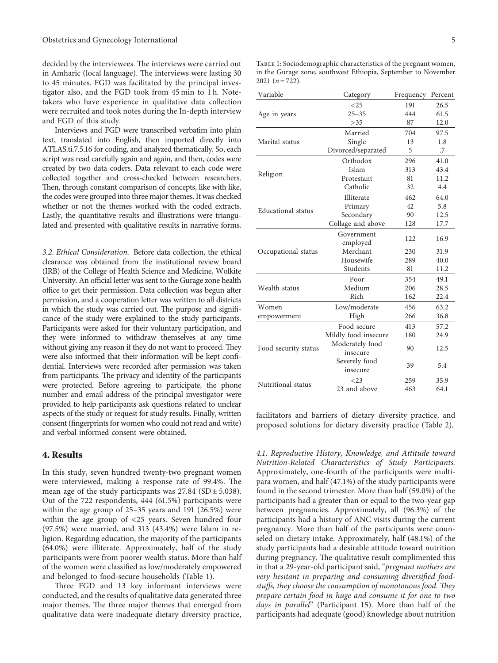decided by the interviewees. The interviews were carried out in Amharic (local language). The interviews were lasting 30 to 45 minutes. FGD was facilitated by the principal investigator also, and the FGD took from 45 min to 1 h. Notetakers who have experience in qualitative data collection were recruited and took notes during the In-depth interview and FGD of this study.

Interviews and FGD were transcribed verbatim into plain text, translated into English, then imported directly into ATLAS.ti.7.5.16 for coding, and analyzed thematically. So, each script was read carefully again and again, and then, codes were created by two data coders. Data relevant to each code were collected together and cross-checked between researchers. Then, through constant comparison of concepts, like with like, the codes were grouped into three major themes. It was checked whether or not the themes worked with the coded extracts. Lastly, the quantitative results and illustrations were triangulated and presented with qualitative results in narrative forms.

*3.2. Ethical Consideration.* Before data collection, the ethical clearance was obtained from the institutional review board (IRB) of the College of Health Science and Medicine, Wolkite University. An official letter was sent to the Gurage zone health office to get their permission. Data collection was begun after permission, and a cooperation letter was written to all districts in which the study was carried out. The purpose and significance of the study were explained to the study participants. Participants were asked for their voluntary participation, and they were informed to withdraw themselves at any time without giving any reason if they do not want to proceed. They were also informed that their information will be kept confidential. Interviews were recorded after permission was taken from participants. The privacy and identity of the participants were protected. Before agreeing to participate, the phone number and email address of the principal investigator were provided to help participants ask questions related to unclear aspects of the study or request for study results. Finally, written consent (fingerprints for women who could not read and write) and verbal informed consent were obtained.

#### **4. Results**

In this study, seven hundred twenty-two pregnant women were interviewed, making a response rate of 99.4%. The mean age of the study participants was  $27.84$  (SD  $\pm$  5.038). Out of the 722 respondents, 444 (61.5%) participants were within the age group of 25–35 years and 191 (26.5%) were within the age group of <25 years. Seven hundred four (97.5%) were married, and 313 (43.4%) were Islam in religion. Regarding education, the majority of the participants (64.0%) were illiterate. Approximately, half of the study participants were from poorer wealth status. More than half of the women were classified as low/moderately empowered and belonged to food-secure households (Table 1).

Three FGD and 13 key informant interviews were conducted, and the results of qualitative data generated three major themes. The three major themes that emerged from qualitative data were inadequate dietary diversity practice,

Table 1: Sociodemographic characteristics of the pregnant women, in the Gurage zone, southwest Ethiopia, September to November 2021  $(n = 722)$ .

| Variable             | Category             | Frequency | Percent |
|----------------------|----------------------|-----------|---------|
|                      | <25                  | 191       | 26.5    |
| Age in years         | $25 - 35$            | 444       | 61.5    |
|                      | >35                  | 87        | 12.0    |
|                      | Married              | 704       | 97.5    |
| Marital status       | Single               | 13        | 1.8     |
|                      | Divorced/separated   | 5         | .7      |
|                      | Orthodox             | 296       | 41.0    |
|                      | Islam                | 313       | 43.4    |
| Religion             | Protestant           | 81        | 11.2    |
|                      | Catholic             | 32        | 4.4     |
|                      | Illiterate           | 462       | 64.0    |
| Educational status   | Primary              | 42        | 5.8     |
|                      | Secondary            | 90        | 12.5    |
|                      | Collage and above    | 128       | 17.7    |
|                      | Government           |           | 16.9    |
|                      | employed             | 122       |         |
| Occupational status  | Merchant             | 230       | 31.9    |
|                      | Housewife            | 289       | 40.0    |
|                      | Students             | 81        | 11.2    |
|                      | Poor                 | 354       | 49.1    |
| Wealth status        | Medium               | 206       | 28.5    |
|                      | Rich                 | 162       | 22.4    |
| Women                | Low/moderate         | 456       | 63.2    |
| empowerment          | High                 | 266       | 36.8    |
|                      | Food secure          | 413       | 57.2    |
| Food security status | Mildly food insecure | 180       | 24.9    |
|                      | Moderately food      | 90        | 12.5    |
|                      | insecure             |           |         |
|                      | Severely food        | 39        | 5.4     |
|                      | insecure             |           |         |
| Nutritional status   | <23                  | 259       | 35.9    |
|                      | 23 and above         | 463       | 64.1    |
|                      |                      |           |         |

facilitators and barriers of dietary diversity practice, and proposed solutions for dietary diversity practice (Table [2](#page-5-0)).

*4.1. Reproductive History, Knowledge, and Attitude toward Nutrition-Related Characteristics of Study Participants.* Approximately, one-fourth of the participants were multipara women, and half (47.1%) of the study participants were found in the second trimester. More than half (59.0%) of the participants had a greater than or equal to the two-year gap between pregnancies. Approximately, all (96.3%) of the participants had a history of ANC visits during the current pregnancy. More than half of the participants were counseled on dietary intake. Approximately, half (48.1%) of the study participants had a desirable attitude toward nutrition during pregnancy. The qualitative result complimented this in that a 29-year-old participant said, "*pregnant mothers are very hesitant in preparing and consuming diversified foodstuffs, they choose the consumption of monotonous food. They prepare certain food in huge and consume it for one to two days in parallel*" (Participant 15). More than half of the participants had adequate (good) knowledge about nutrition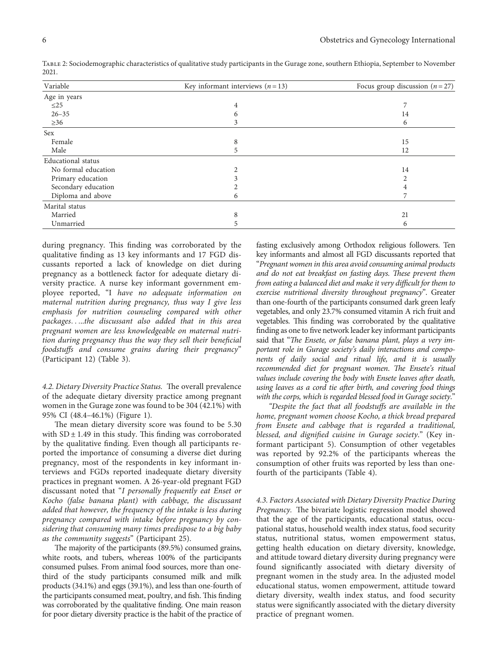| Variable            | Key informant interviews $(n=13)$ | Focus group discussion $(n=27)$ |  |
|---------------------|-----------------------------------|---------------------------------|--|
| Age in years        |                                   |                                 |  |
| $\leq$ 25           | 4                                 |                                 |  |
| $26 - 35$           | 6                                 | 14                              |  |
| $\geq 36$           |                                   | 6                               |  |
| Sex                 |                                   |                                 |  |
| Female              | 8                                 | 15                              |  |
| Male                | 5.                                | 12                              |  |
| Educational status  |                                   |                                 |  |
| No formal education |                                   | 14                              |  |
| Primary education   |                                   |                                 |  |
| Secondary education |                                   |                                 |  |
| Diploma and above   |                                   |                                 |  |
| Marital status      |                                   |                                 |  |
| Married             | 8                                 | 21                              |  |
| Unmarried           |                                   | 6                               |  |

<span id="page-5-0"></span>Table 2: Sociodemographic characteristics of qualitative study participants in the Gurage zone, southern Ethiopia, September to November 2021.

during pregnancy. This finding was corroborated by the qualitative finding as 13 key informants and 17 FGD discussants reported a lack of knowledge on diet during pregnancy as a bottleneck factor for adequate dietary diversity practice. A nurse key informant government employee reported, "I *have no adequate information on maternal nutrition during pregnancy, thus way I give less emphasis for nutrition counseling compared with other packages*. . ...*the discussant also added that in this area pregnant women are less knowledgeable on maternal nutrition during pregnancy thus the way they sell their beneficial foodstuffs and consume grains during their pregnancy*" (Participant 12) (Table [3](#page-6-0)).

4.2. Dietary Diversity Practice Status. The overall prevalence of the adequate dietary diversity practice among pregnant women in the Gurage zone was found to be 304 (42.1%) with 95% CI (48.4–46.1%) (Figure [1\)](#page-6-0).

The mean dietary diversity score was found to be 5.30 with  $SD \pm 1.49$  in this study. This finding was corroborated by the qualitative finding. Even though all participants reported the importance of consuming a diverse diet during pregnancy, most of the respondents in key informant interviews and FGDs reported inadequate dietary diversity practices in pregnant women. A 26-year-old pregnant FGD discussant noted that "*I personally frequently eat Enset or Kocho (false banana plant) with cabbage, the discussant added that however, the frequency of the intake is less during pregnancy compared with intake before pregnancy by considering that consuming many times predispose to a big baby as the community suggests*" (Participant 25).

The majority of the participants (89.5%) consumed grains, white roots, and tubers, whereas 100% of the participants consumed pulses. From animal food sources, more than onethird of the study participants consumed milk and milk products (34.1%) and eggs (39.1%), and less than one-fourth of the participants consumed meat, poultry, and fish. This finding was corroborated by the qualitative finding. One main reason for poor dietary diversity practice is the habit of the practice of fasting exclusively among Orthodox religious followers. Ten key informants and almost all FGD discussants reported that "*Pregnant women in this area avoid consuming animal products* and do not eat breakfast on fasting days. These prevent them *from eating a balanced diet and make it very difficult for them to exercise nutritional diversity throughout pregnancy*". Greater than one-fourth of the participants consumed dark green leafy vegetables, and only 23.7% consumed vitamin A rich fruit and vegetables. This finding was corroborated by the qualitative finding as one to five network leader key informant participants said that "The Ensete, or false banana plant, plays a very im*portant role in Gurage society's daily interactions and components of daily social and ritual life, and it is usually recommended diet for pregnant women. The Ensete's ritual values include covering the body with Ensete leaves after death, using leaves as a cord tie after birth, and covering food things with the corps, which is regarded blessed food in Gurage society*."

*"Despite the fact that all foodstuffs are available in the home, pregnant women choose Kocho, a thick bread prepared from Ensete and cabbage that is regarded a traditional, blessed, and dignified cuisine in Gurage society*." (Key informant participant 5). Consumption of other vegetables was reported by 92.2% of the participants whereas the consumption of other fruits was reported by less than onefourth of the participants (Table [4\)](#page-6-0).

*4.3. Factors Associated with Dietary Diversity Practice During Pregnancy*. The bivariate logistic regression model showed that the age of the participants, educational status, occupational status, household wealth index status, food security status, nutritional status, women empowerment status, getting health education on dietary diversity, knowledge, and attitude toward dietary diversity during pregnancy were found significantly associated with dietary diversity of pregnant women in the study area. In the adjusted model educational status, women empowerment, attitude toward dietary diversity, wealth index status, and food security status were significantly associated with the dietary diversity practice of pregnant women.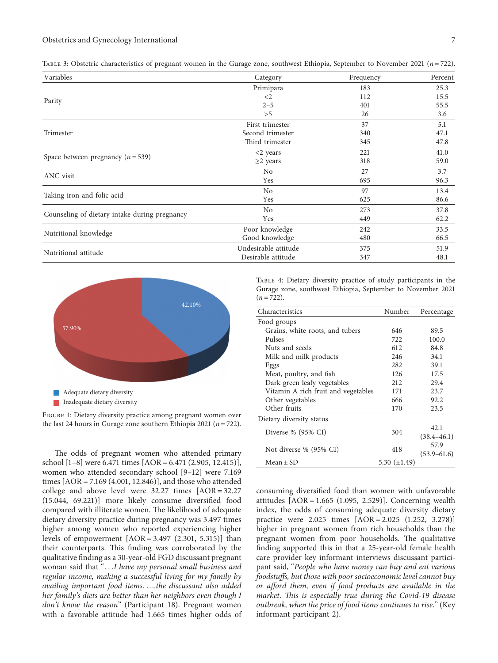| Variables                                     | Category             | Frequency | Percent |  |
|-----------------------------------------------|----------------------|-----------|---------|--|
|                                               | Primipara            | 183       | 25.3    |  |
|                                               | $\langle 2 \rangle$  | 112       | 15.5    |  |
| Parity                                        | $2 - 5$              | 401       | 55.5    |  |
|                                               | >5                   | 26        | 3.6     |  |
|                                               | First trimester      | 37        | 5.1     |  |
| Trimester                                     | Second trimester     | 340       | 47.1    |  |
|                                               | Third trimester      | 345       | 47.8    |  |
|                                               | $<$ 2 years          | 221       | 41.0    |  |
| Space between pregnancy ( $n = 539$ )         | $\geq$ 2 years       | 318       | 59.0    |  |
|                                               | No                   | 27        | 3.7     |  |
| ANC visit                                     | Yes                  | 695       | 96.3    |  |
|                                               | No                   | 97        | 13.4    |  |
| Taking iron and folic acid                    | Yes                  | 625       | 86.6    |  |
|                                               | N <sub>0</sub>       | 273       | 37.8    |  |
| Counseling of dietary intake during pregnancy | Yes                  | 449       | 62.2    |  |
|                                               | Poor knowledge       | 242       | 33.5    |  |
| Nutritional knowledge                         | Good knowledge       | 480       | 66.5    |  |
|                                               | Undesirable attitude | 375       | 51.9    |  |
| Nutritional attitude                          | Desirable attitude   | 347       | 48.1    |  |

<span id="page-6-0"></span>TABLE 3: Obstetric characteristics of pregnant women in the Gurage zone, southwest Ethiopia, September to November 2021 ( $n = 722$ ).



Figure 1: Dietary diversity practice among pregnant women over the last 24 hours in Gurage zone southern Ethiopia 2021  $(n = 722)$ .

The odds of pregnant women who attended primary school [1-8] were 6.471 times [AOR = 6.471 (2.905, 12.415)], women who attended secondary school [\[9–12](#page-9-0)] were 7.169 times  $[AOR = 7.169 (4.001, 12.846)]$ , and those who attended college and above level were  $32.27$  times  $[AOR = 32.27]$ (15.044, 69.221)] more likely consume diversified food compared with illiterate women. The likelihood of adequate dietary diversity practice during pregnancy was 3.497 times higher among women who reported experiencing higher levels of empowerment  $[AOR = 3.497 (2.301, 5.315)]$  than their counterparts. This finding was corroborated by the qualitative finding as a 30-year-old FGD discussant pregnant woman said that ". . .*I have my personal small business and regular income, making a successful living for my family by availing important food items*. . ...*the discussant also added her family's diets are better than her neighbors even though I don't know the reason*" (Participant 18). Pregnant women with a favorable attitude had 1.665 times higher odds of

Table 4: Dietary diversity practice of study participants in the Gurage zone, southwest Ethiopia, September to November 2021  $(n = 722)$ .

| Characteristics                     | Number            | Percentage      |
|-------------------------------------|-------------------|-----------------|
| Food groups                         |                   |                 |
| Grains, white roots, and tubers     | 646               | 89.5            |
| Pulses                              | 722               | 100.0           |
| Nuts and seeds                      | 612               | 84.8            |
| Milk and milk products              | 246               | 34.1            |
| Eggs                                | 282               | 39.1            |
| Meat, poultry, and fish             | 126               | 17.5            |
| Dark green leafy vegetables         | 212               | 29.4            |
| Vitamin A rich fruit and vegetables | 171               | 23.7            |
| Other vegetables                    | 666               | 92.2            |
| Other fruits                        | 170               | 23.5            |
| Dietary diversity status            |                   |                 |
| Diverse $\%$ (95 $\%$ CI)           | 304               | 42.1            |
|                                     |                   | $(38.4 - 46.1)$ |
| Not diverse % (95% CI)              | 418               | 57.9            |
|                                     |                   | $(53.9 - 61.6)$ |
| $Mean \pm SD$                       | 5.30 $(\pm 1.49)$ |                 |

consuming diversified food than women with unfavorable attitudes  $[AOR = 1.665 (1.095, 2.529)]$ . Concerning wealth index, the odds of consuming adequate diversity dietary practice were 2.025 times  $[AOR = 2.025 (1.252, 3.278)]$ higher in pregnant women from rich households than the pregnant women from poor households. The qualitative finding supported this in that a 25-year-old female health care provider key informant interviews discussant participant said, "*People who have money can buy and eat various foodstuffs, but those with poor socioeconomic level cannot buy or afford them, even if food products are available in the market*. *1is is especially true during the Covid-19 disease outbreak, when the price of food items continues to rise*." (Key informant participant 2).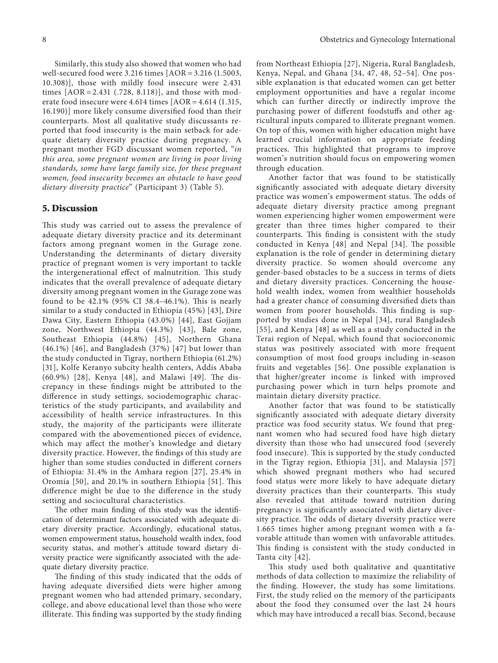Similarly, this study also showed that women who had well-secured food were  $3.216$  times  $[AOR = 3.216 (1.5003,$ 10.308)], those with mildly food insecure were 2.431 times  $[AOR = 2.431$  (.728, 8.118)], and those with moderate food insecure were  $4.614$  times  $[AOR = 4.614 (1.315,$ 16.190)] more likely consume diversified food than their counterparts. Most all qualitative study discussants reported that food insecurity is the main setback for adequate dietary diversity practice during pregnancy. A pregnant mother FGD discussant women reported, "*in this area, some pregnant women are living in poor living standards, some have large family size, for these pregnant women, food insecurity becomes an obstacle to have good dietary diversity practice*" (Participant 3) (Table [5\)](#page-8-0).

#### **5. Discussion**

This study was carried out to assess the prevalence of adequate dietary diversity practice and its determinant factors among pregnant women in the Gurage zone. Understanding the determinants of dietary diversity practice of pregnant women is very important to tackle the intergenerational effect of malnutrition. This study indicates that the overall prevalence of adequate dietary diversity among pregnant women in the Gurage zone was found to be  $42.1\%$  (95% CI 38.4-46.1%). This is nearly similar to a study conducted in Ethiopia (45%) [[43\]](#page-10-0), Dire Dawa City, Eastern Ethiopia (43.0%) [\[44\]](#page-10-0), East Gojjam zone, Northwest Ethiopia (44.3%) [[43\]](#page-10-0), Bale zone, Southeast Ethiopia (44.8%) [[45](#page-10-0)], Northern Ghana (46.1%) [[46](#page-10-0)], and Bangladesh (37%) [\[47](#page-10-0)] but lower than the study conducted in Tigray, northern Ethiopia (61.2%) [[31](#page-9-0)], Kolfe Keranyo subcity health centers, Addis Ababa (60.9%) [[28\]](#page-9-0), Kenya [[48](#page-10-0)], and Malawi [[49\]](#page-10-0). The discrepancy in these findings might be attributed to the difference in study settings, sociodemographic characteristics of the study participants, and availability and accessibility of health service infrastructures. In this study, the majority of the participants were illiterate compared with the abovementioned pieces of evidence, which may affect the mother's knowledge and dietary diversity practice. However, the findings of this study are higher than some studies conducted in different corners of Ethiopia: 31.4% in the Amhara region [[27](#page-9-0)], 25.4% in Oromia  $[50]$  $[50]$ , and 20.1% in southern Ethiopia  $[51]$ . This difference might be due to the difference in the study setting and sociocultural characteristics.

The other main finding of this study was the identification of determinant factors associated with adequate dietary diversity practice. Accordingly, educational status, women empowerment status, household wealth index, food security status, and mother's attitude toward dietary diversity practice were significantly associated with the adequate dietary diversity practice.

The finding of this study indicated that the odds of having adequate diversified diets were higher among pregnant women who had attended primary, secondary, college, and above educational level than those who were illiterate. This finding was supported by the study finding

from Northeast Ethiopia [\[27](#page-9-0)], Nigeria, Rural Bangladesh, Kenya, Nepal, and Ghana [[34, 47, 48, 52–54\]](#page-10-0). One possible explanation is that educated women can get better employment opportunities and have a regular income which can further directly or indirectly improve the purchasing power of different foodstuffs and other agricultural inputs compared to illiterate pregnant women. On top of this, women with higher education might have learned crucial information on appropriate feeding practices. This highlighted that programs to improve women's nutrition should focus on empowering women through education.

Another factor that was found to be statistically significantly associated with adequate dietary diversity practice was women's empowerment status. The odds of adequate dietary diversity practice among pregnant women experiencing higher women empowerment were greater than three times higher compared to their counterparts. This finding is consistent with the study conducted in Kenya [[48\]](#page-10-0) and Nepal [\[34](#page-10-0)]. The possible explanation is the role of gender in determining dietary diversity practice. So women should overcome any gender-based obstacles to be a success in terms of diets and dietary diversity practices. Concerning the household wealth index, women from wealthier households had a greater chance of consuming diversified diets than women from poorer households. This finding is supported by studies done in Nepal [[34\]](#page-10-0), rural Bangladesh [[55\]](#page-10-0), and Kenya [[48\]](#page-10-0) as well as a study conducted in the Terai region of Nepal, which found that socioeconomic status was positively associated with more frequent consumption of most food groups including in-season fruits and vegetables [\[56](#page-10-0)]. One possible explanation is that higher/greater income is linked with improved purchasing power which in turn helps promote and maintain dietary diversity practice.

Another factor that was found to be statistically significantly associated with adequate dietary diversity practice was food security status. We found that pregnant women who had secured food have high dietary diversity than those who had unsecured food (severely food insecure). This is supported by the study conducted in the Tigray region, Ethiopia [[31](#page-9-0)], and Malaysia [[57\]](#page-10-0) which showed pregnant mothers who had secured food status were more likely to have adequate dietary diversity practices than their counterparts. This study also revealed that attitude toward nutrition during pregnancy is significantly associated with dietary diversity practice. The odds of dietary diversity practice were 1.665 times higher among pregnant women with a favorable attitude than women with unfavorable attitudes. This finding is consistent with the study conducted in Tanta city [[42\]](#page-10-0).

This study used both qualitative and quantitative methods of data collection to maximize the reliability of the finding. However, the study has some limitations. First, the study relied on the memory of the participants about the food they consumed over the last 24 hours which may have introduced a recall bias. Second, because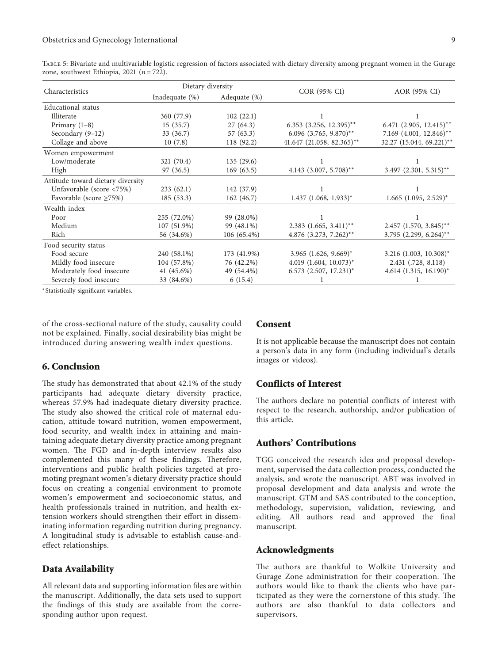<span id="page-8-0"></span>Table 5: Bivariate and multivariable logistic regression of factors associated with dietary diversity among pregnant women in the Gurage zone, southwest Ethiopia, 2021  $(n = 722)$ .

| Characteristics                   | Dietary diversity |               |                                     |                                         |
|-----------------------------------|-------------------|---------------|-------------------------------------|-----------------------------------------|
|                                   | Inadequate $(\%)$ | Adequate (%)  | COR (95% CI)                        | AOR (95% CI)                            |
| Educational status                |                   |               |                                     |                                         |
| Illiterate                        | 360 (77.9)        | 102(22.1)     |                                     |                                         |
| Primary $(1-8)$                   | 15(35.7)          | 27(64.3)      | $6.353$ $(3.256, 12.395)$ **        | $6.471$ $(2.905, 12.415)$ <sup>**</sup> |
| Secondary (9-12)                  | 33(36.7)          | 57(63.3)      | 6.096 (3.765, 9.870)**              | 7.169 (4.001, 12.846)**                 |
| Collage and above                 | 10(7.8)           | 118 (92.2)    | 41.647 (21.058, 82.365)**           | 32.27 (15.044, 69.221)**                |
| Women empowerment                 |                   |               |                                     |                                         |
| Low/moderate                      | 321 (70.4)        | 135(29.6)     |                                     |                                         |
| High                              | 97 (36.5)         | 169(63.5)     | 4.143 $(3.007, 5.708)$ **           | $3.497$ (2.301, 5.315)**                |
| Attitude toward dietary diversity |                   |               |                                     |                                         |
| Unfavorable (score <75%)          | 233(62.1)         | 142 (37.9)    |                                     |                                         |
| Favorable (score $\geq$ 75%)      | 185(53.3)         | 162(46.7)     | $1.437$ (1.068, 1.933) <sup>*</sup> | $1.665$ (1.095, 2.529) <sup>*</sup>     |
| Wealth index                      |                   |               |                                     |                                         |
| Poor                              | 255 (72.0%)       | 99 (28.0%)    |                                     |                                         |
| Medium                            | 107 (51.9%)       | 99 (48.1%)    | $2.383$ $(1.665, 3.411)^{**}$       | $2.457$ $(1.570, 3.845)$ **             |
| Rich                              | 56 (34.6%)        | $106(65.4\%)$ | $4.876$ $(3.273, 7.262)$ **         | $3.795$ (2.299, 6.264) <sup>**</sup>    |
| Food security status              |                   |               |                                     |                                         |
| Food secure                       | 240 (58.1%)       | 173 (41.9%)   | $3.965$ $(1.626, 9.669)^*$          | $3.216$ (1.003, 10.308) <sup>*</sup>    |
| Mildly food insecure              | 104 (57.8%)       | 76 (42.2%)    | $4.019$ $(1.604, 10.073)^*$         | 2.431 (.728, 8.118)                     |
| Moderately food insecure          | 41 (45.6%)        | 49 (54.4%)    | $6.573$ $(2.507, 17.231)^*$         | $4.614$ (1.315, 16.190)*                |
| Severely food insecure            | 33 (84.6%)        | 6(15.4)       |                                     |                                         |

<sup>∗</sup>Statistically significant variables.

of the cross-sectional nature of the study, causality could not be explained. Finally, social desirability bias might be introduced during answering wealth index questions.

#### **6. Conclusion**

The study has demonstrated that about 42.1% of the study participants had adequate dietary diversity practice, whereas 57.9% had inadequate dietary diversity practice. The study also showed the critical role of maternal education, attitude toward nutrition, women empowerment, food security, and wealth index in attaining and maintaining adequate dietary diversity practice among pregnant women. The FGD and in-depth interview results also complemented this many of these findings. Therefore, interventions and public health policies targeted at promoting pregnant women's dietary diversity practice should focus on creating a congenial environment to promote women's empowerment and socioeconomic status, and health professionals trained in nutrition, and health extension workers should strengthen their effort in disseminating information regarding nutrition during pregnancy. A longitudinal study is advisable to establish cause-andeffect relationships.

#### **Data Availability**

All relevant data and supporting information files are within the manuscript. Additionally, the data sets used to support the findings of this study are available from the corresponding author upon request.

#### **Consent**

It is not applicable because the manuscript does not contain a person's data in any form (including individual's details images or videos).

### **Conflicts of Interest**

The authors declare no potential conflicts of interest with respect to the research, authorship, and/or publication of this article.

## **Authors' Contributions**

TGG conceived the research idea and proposal development, supervised the data collection process, conducted the analysis, and wrote the manuscript. ABT was involved in proposal development and data analysis and wrote the manuscript. GTM and SAS contributed to the conception, methodology, supervision, validation, reviewing, and editing. All authors read and approved the final manuscript.

#### **Acknowledgments**

The authors are thankful to Wolkite University and Gurage Zone administration for their cooperation. The authors would like to thank the clients who have participated as they were the cornerstone of this study. The authors are also thankful to data collectors and supervisors.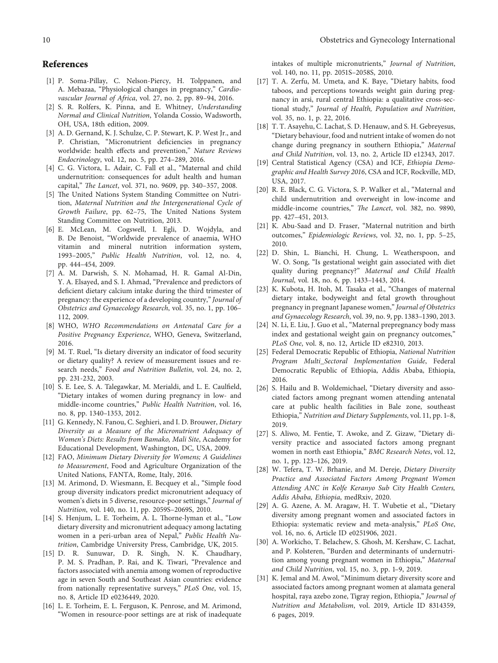- <span id="page-9-0"></span>[1] P. Soma-Pillay, C. Nelson-Piercy, H. Tolppanen, and A. Mebazaa, "Physiological changes in pregnancy," *Cardiovascular Journal of Africa*, vol. 27, no. 2, pp. 89–94, 2016.
- [2] S. R. Rolfers, K. Pinna, and E. Whitney, *Understanding Normal and Clinical Nutrition*, Yolanda Cossio, Wadsworth, OH, USA, 18th edition, 2009.
- [3] A. D. Gernand, K. J. Schulze, C. P. Stewart, K. P. West Jr., and P. Christian, "Micronutrient deficiencies in pregnancy worldwide: health effects and prevention," *Nature Reviews Endocrinology*, vol. 12, no. 5, pp. 274–289, 2016.
- [4] C. G. Victora, L. Adair, C. Fall et al., "Maternal and child undernutrition: consequences for adult health and human capital," *1e Lancet*, vol. 371, no. 9609, pp. 340–357, 2008.
- [5] The United Nations System Standing Committee on Nutrition, *Maternal Nutrition and the Intergenerational Cycle of Growth Failure*, pp. 62-75, The United Nations System Standing Committee on Nutrition, 2013.
- [6] E. McLean, M. Cogswell, I. Egli, D. Wojdyla, and B. De Benoist, "Worldwide prevalence of anaemia, WHO vitamin and mineral nutrition information system, 1993–2005," *Public Health Nutrition*, vol. 12, no. 4, pp. 444–454, 2009.
- [7] A. M. Darwish, S. N. Mohamad, H. R. Gamal Al-Din, Y. A. Elsayed, and S. I. Ahmad, "Prevalence and predictors of deficient dietary calcium intake during the third trimester of pregnancy: the experience of a developing country," *Journal of Obstetrics and Gynaecology Research*, vol. 35, no. 1, pp. 106– 112, 2009.
- [8] WHO, *WHO Recommendations on Antenatal Care for a Positive Pregnancy Experience*, WHO, Geneva, Switzerland, 2016.
- [9] M. T. Ruel, "Is dietary diversity an indicator of food security or dietary quality? A review of measurement issues and research needs," *Food and Nutrition Bulletin*, vol. 24, no. 2, pp. 231-232, 2003.
- [10] S. E. Lee, S. A. Talegawkar, M. Merialdi, and L. E. Caulfield, "Dietary intakes of women during pregnancy in low- and middle-income countries," *Public Health Nutrition*, vol. 16, no. 8, pp. 1340–1353, 2012.
- [11] G. Kennedy, N. Fanou, C. Seghieri, and I. D. Brouwer, *Dietary Diversity as a Measure of the Micronutrient Adequacy of Women's Diets: Results from Bamako, Mali Site*, Academy for Educational Development, Washington, DC, USA, 2009.
- [12] FAO, *Minimum Dietary Diversity for Womens; A Guidelines to Measurement*, Food and Agriculture Organization of the United Nations, FANTA, Rome, Italy, 2016.
- [13] M. Arimond, D. Wiesmann, E. Becquey et al., "Simple food group diversity indicators predict micronutrient adequacy of women's diets in 5 diverse, resource-poor settings," *Journal of Nutrition*, vol. 140, no. 11, pp. 2059S–2069S, 2010.
- [14] S. Henjum, L. E. Torheim, A. L. Thorne-lyman et al., "Low dietary diversity and micronutrient adequacy among lactating women in a peri-urban area of Nepal," *Public Health Nutrition*, Cambridge University Press, Cambridge, UK, 2015.
- [15] D. R. Sunuwar, D. R. Singh, N. K. Chaudhary, P. M. S. Pradhan, P. Rai, and K. Tiwari, "Prevalence and factors associated with anemia among women of reproductive age in seven South and Southeast Asian countries: evidence from nationally representative surveys," *PLoS One*, vol. 15, no. 8, Article ID e0236449, 2020.
- [16] L. E. Torheim, E. L. Ferguson, K. Penrose, and M. Arimond, "Women in resource-poor settings are at risk of inadequate

intakes of multiple micronutrients," *Journal of Nutrition*, vol. 140, no. 11, pp. 2051S–2058S, 2010.

- [17] T. A. Zerfu, M. Umeta, and K. Baye, "Dietary habits, food taboos, and perceptions towards weight gain during pregnancy in arsi, rural central Ethiopia: a qualitative cross-sectional study," *Journal of Health, Population and Nutrition*, vol. 35, no. 1, p. 22, 2016.
- [18] T. T. Asayehu, C. Lachat, S. D. Henauw, and S. H. Gebreyesus, "Dietary behaviour, food and nutrient intake of women do not change during pregnancy in southern Ethiopia," *Maternal and Child Nutrition*, vol. 13, no. 2, Article ID e12343, 2017.
- [19] Central Statistical Agency (CSA) and ICF, *Ethiopia Demographic and Health Survey 2016*, CSA and ICF, Rockville, MD, USA, 2017.
- [20] R. E. Black, C. G. Victora, S. P. Walker et al., "Maternal and child undernutrition and overweight in low-income and middle-income countries," *1e Lancet*, vol. 382, no. 9890, pp. 427–451, 2013.
- [21] K. Abu-Saad and D. Fraser, "Maternal nutrition and birth outcomes," *Epidemiologic Reviews*, vol. 32, no. 1, pp. 5–25, 2010.
- [22] D. Shin, L. Bianchi, H. Chung, L. Weatherspoon, and W. O. Song, "Is gestational weight gain associated with diet quality during pregnancy?" *Maternal and Child Health Journal*, vol. 18, no. 6, pp. 1433–1443, 2014.
- [23] K. Kubota, H. Itoh, M. Tasaka et al., "Changes of maternal dietary intake, bodyweight and fetal growth throughout pregnancy in pregnant Japanese women," *Journal of Obstetrics and Gynaecology Research*, vol. 39, no. 9, pp. 1383–1390, 2013.
- [24] N. Li, E. Liu, J. Guo et al., "Maternal prepregnancy body mass index and gestational weight gain on pregnancy outcomes," *PLoS One*, vol. 8, no. 12, Article ID e82310, 2013.
- [25] Federal Democratic Republic of Ethiopia, *National Nutrition Program Multi\_Sectoral Implementation Guide*, Federal Democratic Republic of Ethiopia, Addis Ababa, Ethiopia, 2016.
- [26] S. Hailu and B. Woldemichael, "Dietary diversity and associated factors among pregnant women attending antenatal care at public health facilities in Bale zone, southeast Ethiopia," *Nutrition and Dietary Supplements*, vol. 11, pp. 1–8, 2019.
- [27] S. Aliwo, M. Fentie, T. Awoke, and Z. Gizaw, "Dietary diversity practice and associated factors among pregnant women in north east Ethiopia," *BMC Research Notes*, vol. 12, no. 1, pp. 123–126, 2019.
- [28] W. Tefera, T. W. Brhanie, and M. Dereje, *Dietary Diversity Practice and Associated Factors Among Pregnant Women Attending ANC in Kolfe Keranyo Sub City Health Centers, Addis Ababa, Ethiopia*, medRxiv, 2020.
- [29] A. G. Azene, A. M. Aragaw, H. T. Wubetie et al., "Dietary diversity among pregnant women and associated factors in Ethiopia: systematic review and meta-analysis," *PLoS One*, vol. 16, no. 6, Article ID e0251906, 2021.
- [30] A. Workicho, T. Belachew, S. Ghosh, M. Kershaw, C. Lachat, and P. Kolsteren, "Burden and determinants of undernutrition among young pregnant women in Ethiopia," *Maternal and Child Nutrition*, vol. 15, no. 3, pp. 1–9, 2019.
- [31] K. Jemal and M. Awol, "Minimum dietary diversity score and associated factors among pregnant women at alamata general hospital, raya azebo zone, Tigray region, Ethiopia," *Journal of Nutrition and Metabolism*, vol. 2019, Article ID 8314359, 6 pages, 2019.